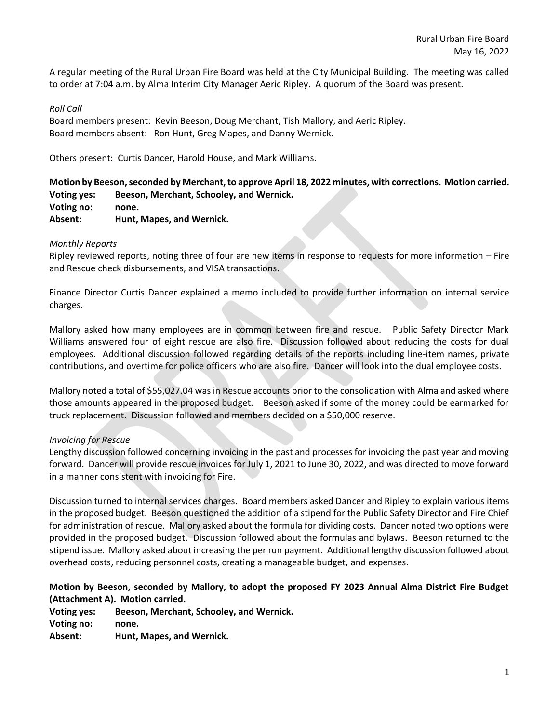A regular meeting of the Rural Urban Fire Board was held at the City Municipal Building. The meeting was called to order at 7:04 a.m. by Alma Interim City Manager Aeric Ripley. A quorum of the Board was present.

### *Roll Call*

Board members present: Kevin Beeson, Doug Merchant, Tish Mallory, and Aeric Ripley. Board members absent: Ron Hunt, Greg Mapes, and Danny Wernick.

Others present: Curtis Dancer, Harold House, and Mark Williams.

**Motion by Beeson,seconded by Merchant,to approve April 18, 2022 minutes, with corrections. Motion carried. Voting yes: Beeson, Merchant, Schooley, and Wernick. Voting no: none. Absent: Hunt, Mapes, and Wernick.**

## *Monthly Reports*

Ripley reviewed reports, noting three of four are new items in response to requests for more information – Fire and Rescue check disbursements, and VISA transactions.

Finance Director Curtis Dancer explained a memo included to provide further information on internal service charges.

Mallory asked how many employees are in common between fire and rescue. Public Safety Director Mark Williams answered four of eight rescue are also fire. Discussion followed about reducing the costs for dual employees. Additional discussion followed regarding details of the reports including line-item names, private contributions, and overtime for police officers who are also fire. Dancer will look into the dual employee costs.

Mallory noted a total of \$55,027.04 was in Rescue accounts prior to the consolidation with Alma and asked where those amounts appeared in the proposed budget. Beeson asked if some of the money could be earmarked for truck replacement. Discussion followed and members decided on a \$50,000 reserve.

# *Invoicing for Rescue*

Lengthy discussion followed concerning invoicing in the past and processes for invoicing the past year and moving forward. Dancer will provide rescue invoices for July 1, 2021 to June 30, 2022, and was directed to move forward in a manner consistent with invoicing for Fire.

Discussion turned to internal services charges. Board members asked Dancer and Ripley to explain various items in the proposed budget. Beeson questioned the addition of a stipend for the Public Safety Director and Fire Chief for administration of rescue. Mallory asked about the formula for dividing costs. Dancer noted two options were provided in the proposed budget. Discussion followed about the formulas and bylaws. Beeson returned to the stipend issue. Mallory asked about increasing the per run payment. Additional lengthy discussion followed about overhead costs, reducing personnel costs, creating a manageable budget, and expenses.

# **Motion by Beeson, seconded by Mallory, to adopt the proposed FY 2023 Annual Alma District Fire Budget (Attachment A). Motion carried.**

**Voting yes: Beeson, Merchant, Schooley, and Wernick. Voting no: none. Absent: Hunt, Mapes, and Wernick.**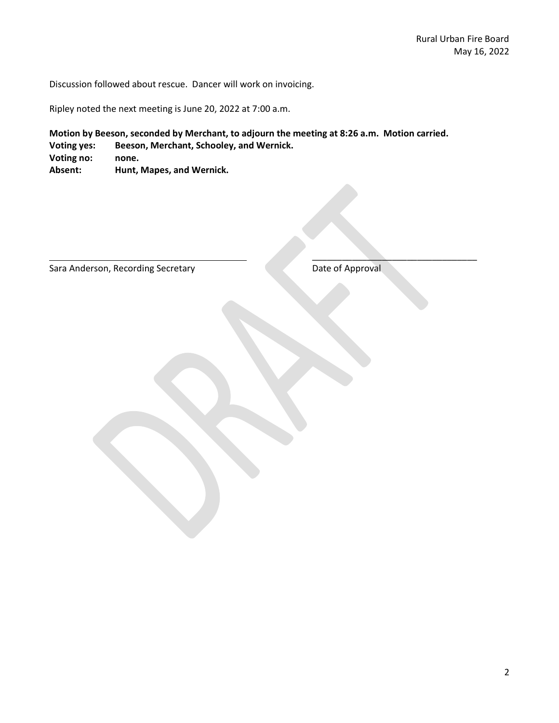Discussion followed about rescue. Dancer will work on invoicing.

Ripley noted the next meeting is June 20, 2022 at 7:00 a.m.

**Motion by Beeson, seconded by Merchant, to adjourn the meeting at 8:26 a.m. Motion carried.**

**Voting yes: Beeson, Merchant, Schooley, and Wernick.** 

**Voting no: none.**

**Absent: Hunt, Mapes, and Wernick.** 

Sara Anderson, Recording Secretary Date of Approval

 $\overline{\phantom{a}}$  , and the set of the set of the set of the set of the set of the set of the set of the set of the set of the set of the set of the set of the set of the set of the set of the set of the set of the set of the s